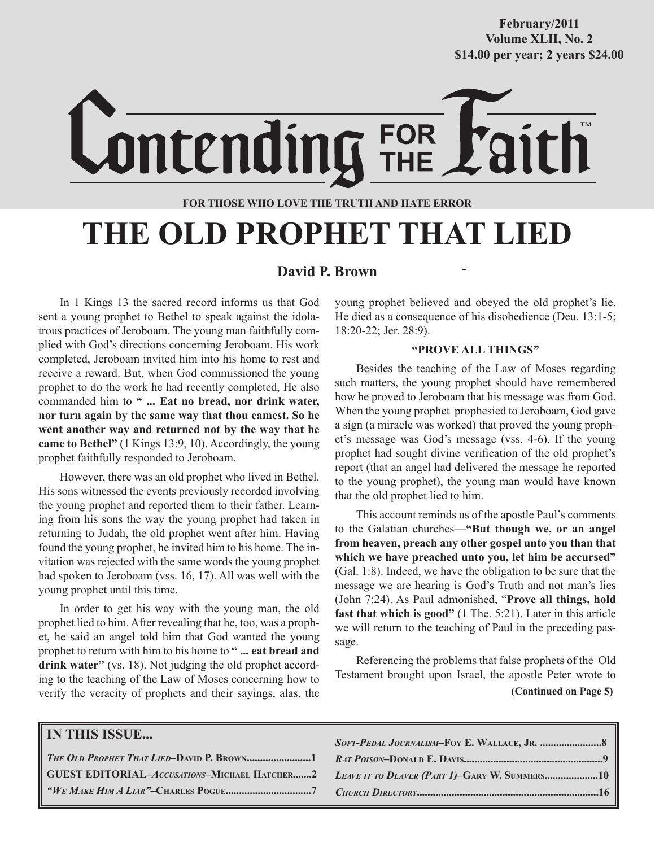## **October/2007 Volume XLII, No. 2 Volume XXXVIII, No. 10 \$14.00 per year; 2 years \$24.00 \$14.00 per year; 2 years \$24.00 February/2011**

# Lontending FOR

#### **FOR THOSE WHO LOVE THE TRUTH AND HATE ERROR**

# **THE OLD PROPHET THAT LIED**

#### **David P. Brown**

In 1 Kings 13 the sacred record informs us that God sent a young prophet to Bethel to speak against the idolatrous practices of Jeroboam. The young man faithfully complied with God's directions concerning Jeroboam. His work completed, Jeroboam invited him into his home to rest and receive a reward. But, when God commissioned the young prophet to do the work he had recently completed, He also commanded him to **" ... Eat no bread, nor drink water, nor turn again by the same way that thou camest. So he went another way and returned not by the way that he came to Bethel"** (1 Kings 13:9, 10). Accordingly, the young prophet faithfully responded to Jeroboam.

However, there was an old prophet who lived in Bethel. His sons witnessed the events previously recorded involving the young prophet and reported them to their father. Learning from his sons the way the young prophet had taken in returning to Judah, the old prophet went after him. Having found the young prophet, he invited him to his home. The invitation was rejected with the same words the young prophet had spoken to Jeroboam (vss. 16, 17). All was well with the young prophet until this time.

In order to get his way with the young man, the old prophet lied to him. After revealing that he, too, was a prophet, he said an angel told him that God wanted the young prophet to return with him to his home to **" ... eat bread and drink water"** (vs. 18). Not judging the old prophet according to the teaching of the Law of Moses concerning how to verify the veracity of prophets and their sayings, alas, the young prophet believed and obeyed the old prophet's lie. He died as a consequence of his disobedience (Deu. 13:1-5; 18:20-22; Jer. 28:9).

#### **"PROVE ALL THINGS"**

Besides the teaching of the Law of Moses regarding such matters, the young prophet should have remembered how he proved to Jeroboam that his message was from God. When the young prophet prophesied to Jeroboam, God gave a sign (a miracle was worked) that proved the young prophet's message was God's message (vss. 4-6). If the young prophet had sought divine verification of the old prophet's report (that an angel had delivered the message he reported to the young prophet), the young man would have known that the old prophet lied to him.

This account reminds us of the apostle Paul's comments to the Galatian churches—**"But though we, or an angel from heaven, preach any other gospel unto you than that which we have preached unto you, let him be accursed"** (Gal. 1:8). Indeed, we have the obligation to be sure that the message we are hearing is God's Truth and not man's lies (John 7:24). As Paul admonished, "**Prove all things, hold fast that which is good"** (1 The. 5:21). Later in this article we will return to the teaching of Paul in the preceding passage.

**(Continued on Page 5)** Referencing the problems that false prophets of the Old Testament brought upon Israel, the apostle Peter wrote to

| <b>IN THIS ISSUE</b>                      |                                                                                              |
|-------------------------------------------|----------------------------------------------------------------------------------------------|
| THE OLD PROPHET THAT LIED-DAVID P. BROWN1 |                                                                                              |
|                                           | GUEST EDITORIAL-Accusations-Michael Hatcher2   Leave it to Deaver (Part 1)-Gary W. Summers10 |
|                                           |                                                                                              |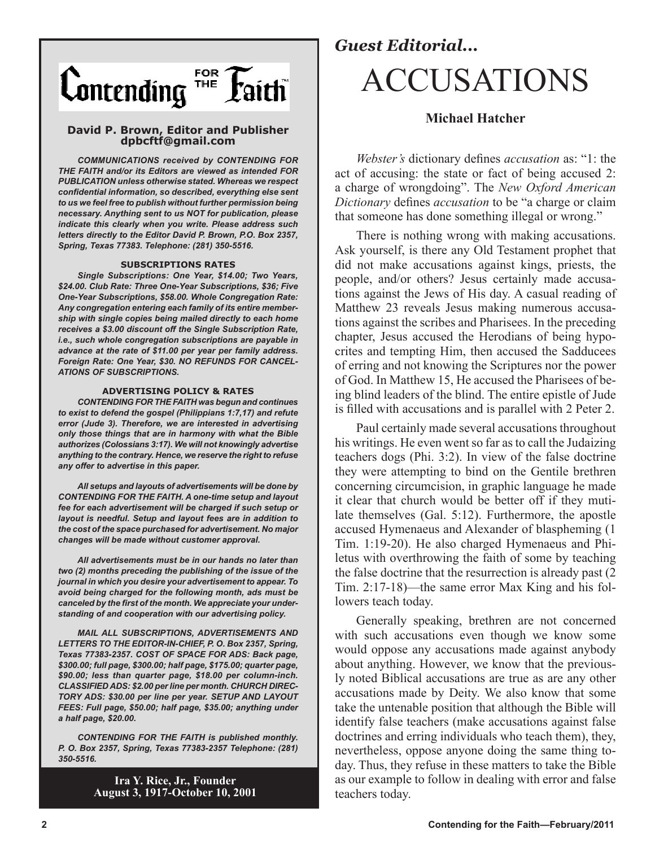

#### **David P. Brown, Editor and Publisher dpbcftf@gmail.com**

*COMMUNICATIONS received by CONTENDING FOR THE FAITH and/or its Editors are viewed as intended FOR PUBLICATION unless otherwise stated. Whereas we respect confidential information, so described, everything else sent to us we feel free to publish without further permission being necessary. Anything sent to us NOT for publication, please indicate this clearly when you write. Please address such letters directly to the Editor David P. Brown, P.O. Box 2357, Spring, Texas 77383. Telephone: (281) 350-5516.*

#### **SUBSCRIPTIONS RATES**

*Single Subscriptions: One Year, \$14.00; Two Years, \$24.00. Club Rate: Three One-Year Subscriptions, \$36; Five One-Year Subscriptions, \$58.00. Whole Congregation Rate: Any congregation entering each family of its entire membership with single copies being mailed directly to each home receives a \$3.00 discount off the Single Subscription Rate, i.e., such whole congregation subscriptions are payable in advance at the rate of \$11.00 per year per family address. Foreign Rate: One Year, \$30. NO REFUNDS FOR CANCEL-ATIONS OF SUBSCRIPTIONS.*

#### **ADVERTISING POLICY & RATES**

*CONTENDING FOR THE FAITH was begun and continues to exist to defend the gospel (Philippians 1:7,17) and refute error (Jude 3). Therefore, we are interested in advertising only those things that are in harmony with what the Bible authorizes (Colossians 3:17). We will not knowingly advertise anything to the contrary. Hence, we reserve the right to refuse any offer to advertise in this paper.*

*All setups and layouts of advertisements will be done by CONTENDING FOR THE FAITH. A one-time setup and layout fee for each advertisement will be charged if such setup or layout is needful. Setup and layout fees are in addition to the cost of the space purchased for advertisement. No major changes will be made without customer approval.*

*All advertisements must be in our hands no later than two (2) months preceding the publishing of the issue of the journal in which you desire your advertisement to appear. To avoid being charged for the following month, ads must be canceled by the first of the month. We appreciate your understanding of and cooperation with our advertising policy.*

*MAIL ALL SUBSCRIPTIONS, ADVERTISEMENTS AND LETTERS TO THE EDITOR-IN-CHIEF, P. O. Box 2357, Spring, Texas 77383-2357. COST OF SPACE FOR ADS: Back page, \$300.00; full page, \$300.00; half page, \$175.00; quarter page, \$90.00; less than quarter page, \$18.00 per column-inch. CLASSIFIED ADS: \$2.00 per line per month. CHURCH DIREC-TORY ADS: \$30.00 per line per year. SETUP AND LAYOUT FEES: Full page, \$50.00; half page, \$35.00; anything under a half page, \$20.00.*

*CONTENDING FOR THE FAITH is published monthly. P. O. Box 2357, Spring, Texas 77383-2357 Telephone: (281) 350-5516.*

> **Ira Y. Rice, Jr., Founder August 3, 1917-October 10, 2001**

## *Guest Editorial...* ACCUSATIONS

#### **Michael Hatcher**

*Webster's* dictionary defines *accusation* as: "1: the act of accusing: the state or fact of being accused 2: a charge of wrongdoing". The *New Oxford American Dictionary* defines *accusation* to be "a charge or claim that someone has done something illegal or wrong."

There is nothing wrong with making accusations. Ask yourself, is there any Old Testament prophet that did not make accusations against kings, priests, the people, and/or others? Jesus certainly made accusations against the Jews of His day. A casual reading of Matthew 23 reveals Jesus making numerous accusations against the scribes and Pharisees. In the preceding chapter, Jesus accused the Herodians of being hypocrites and tempting Him, then accused the Sadducees of erring and not knowing the Scriptures nor the power of God. In Matthew 15, He accused the Pharisees of being blind leaders of the blind. The entire epistle of Jude is filled with accusations and is parallel with 2 Peter 2.

Paul certainly made several accusations throughout his writings. He even went so far as to call the Judaizing teachers dogs (Phi. 3:2). In view of the false doctrine they were attempting to bind on the Gentile brethren concerning circumcision, in graphic language he made it clear that church would be better off if they mutilate themselves (Gal. 5:12). Furthermore, the apostle accused Hymenaeus and Alexander of blaspheming (1 Tim. 1:19-20). He also charged Hymenaeus and Philetus with overthrowing the faith of some by teaching the false doctrine that the resurrection is already past (2 Tim. 2:17-18)—the same error Max King and his followers teach today.

Generally speaking, brethren are not concerned with such accusations even though we know some would oppose any accusations made against anybody about anything. However, we know that the previously noted Biblical accusations are true as are any other accusations made by Deity. We also know that some take the untenable position that although the Bible will identify false teachers (make accusations against false doctrines and erring individuals who teach them), they, nevertheless, oppose anyone doing the same thing today. Thus, they refuse in these matters to take the Bible as our example to follow in dealing with error and false teachers today.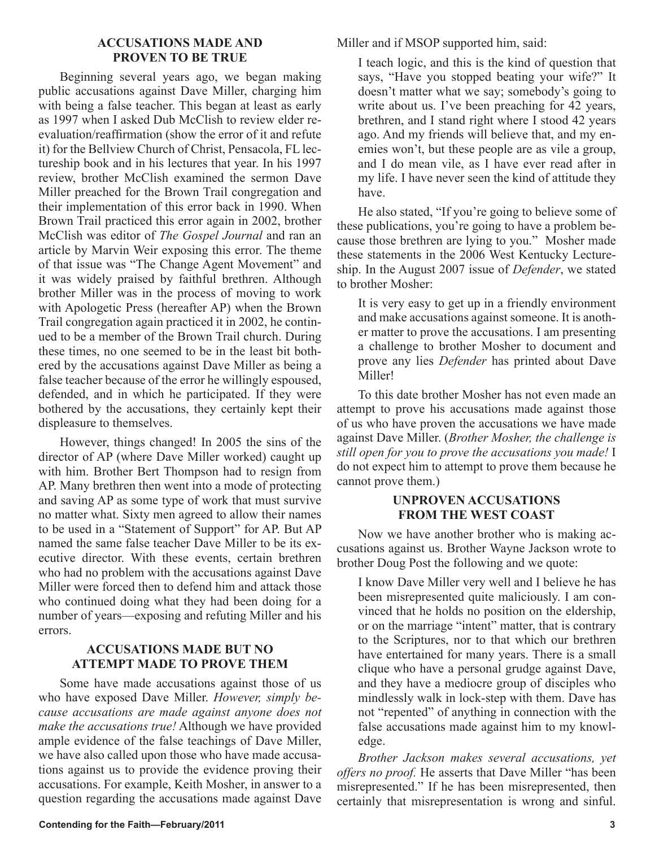#### **ACCUSATIONS MADE AND PROVEN TO BE TRUE**

Beginning several years ago, we began making public accusations against Dave Miller, charging him with being a false teacher. This began at least as early as 1997 when I asked Dub McClish to review elder reevaluation/reaffirmation (show the error of it and refute it) for the Bellview Church of Christ, Pensacola, FL lectureship book and in his lectures that year. In his 1997 review, brother McClish examined the sermon Dave Miller preached for the Brown Trail congregation and their implementation of this error back in 1990. When Brown Trail practiced this error again in 2002, brother McClish was editor of *The Gospel Journal* and ran an article by Marvin Weir exposing this error. The theme of that issue was "The Change Agent Movement" and it was widely praised by faithful brethren. Although brother Miller was in the process of moving to work with Apologetic Press (hereafter AP) when the Brown Trail congregation again practiced it in 2002, he continued to be a member of the Brown Trail church. During these times, no one seemed to be in the least bit bothered by the accusations against Dave Miller as being a false teacher because of the error he willingly espoused, defended, and in which he participated. If they were bothered by the accusations, they certainly kept their displeasure to themselves.

However, things changed! In 2005 the sins of the director of AP (where Dave Miller worked) caught up with him. Brother Bert Thompson had to resign from AP. Many brethren then went into a mode of protecting and saving AP as some type of work that must survive no matter what. Sixty men agreed to allow their names to be used in a "Statement of Support" for AP. But AP named the same false teacher Dave Miller to be its executive director. With these events, certain brethren who had no problem with the accusations against Dave Miller were forced then to defend him and attack those who continued doing what they had been doing for a number of years—exposing and refuting Miller and his errors.

#### **ACCUSATIONS MADE BUT NO ATTEMPT MADE TO PROVE THEM**

Some have made accusations against those of us who have exposed Dave Miller. *However, simply because accusations are made against anyone does not make the accusations true!* Although we have provided ample evidence of the false teachings of Dave Miller, we have also called upon those who have made accusations against us to provide the evidence proving their accusations. For example, Keith Mosher, in answer to a question regarding the accusations made against Dave

Miller and if MSOP supported him, said:

I teach logic, and this is the kind of question that says, "Have you stopped beating your wife?" It doesn't matter what we say; somebody's going to write about us. I've been preaching for 42 years, brethren, and I stand right where I stood 42 years ago. And my friends will believe that, and my enemies won't, but these people are as vile a group, and I do mean vile, as I have ever read after in my life. I have never seen the kind of attitude they have.

He also stated, "If you're going to believe some of these publications, you're going to have a problem because those brethren are lying to you." Mosher made these statements in the 2006 West Kentucky Lectureship. In the August 2007 issue of *Defender*, we stated to brother Mosher:

It is very easy to get up in a friendly environment and make accusations against someone. It is another matter to prove the accusations. I am presenting a challenge to brother Mosher to document and prove any lies *Defender* has printed about Dave Miller!

To this date brother Mosher has not even made an attempt to prove his accusations made against those of us who have proven the accusations we have made against Dave Miller. (*Brother Mosher, the challenge is still open for you to prove the accusations you made!* I do not expect him to attempt to prove them because he cannot prove them.)

#### **UNPROVEN ACCUSATIONS FROM THE WEST COAST**

Now we have another brother who is making accusations against us. Brother Wayne Jackson wrote to brother Doug Post the following and we quote:

I know Dave Miller very well and I believe he has been misrepresented quite maliciously. I am convinced that he holds no position on the eldership, or on the marriage "intent" matter, that is contrary to the Scriptures, nor to that which our brethren have entertained for many years. There is a small clique who have a personal grudge against Dave, and they have a mediocre group of disciples who mindlessly walk in lock-step with them. Dave has not "repented" of anything in connection with the false accusations made against him to my knowledge.

*Brother Jackson makes several accusations, yet offers no proof.* He asserts that Dave Miller "has been misrepresented." If he has been misrepresented, then certainly that misrepresentation is wrong and sinful.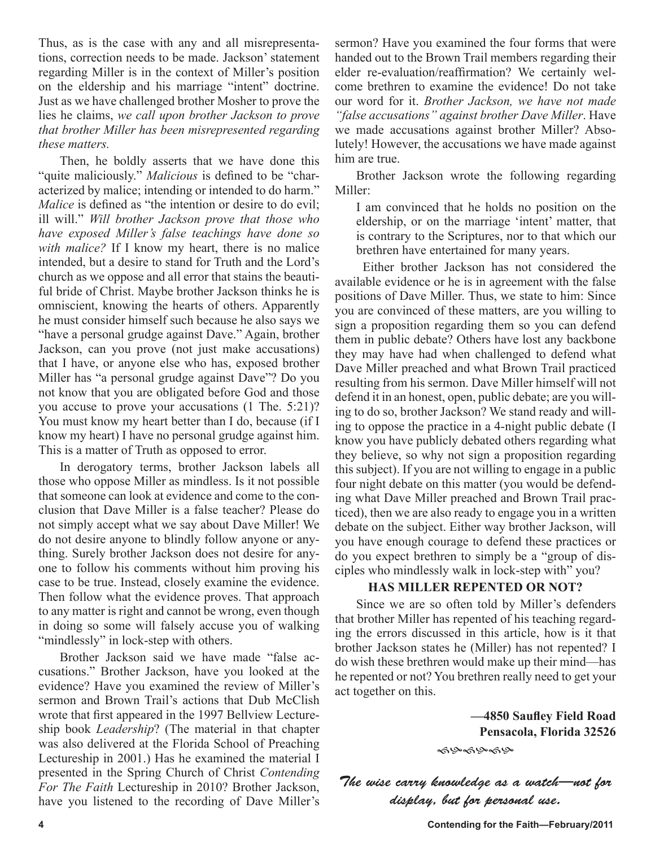Thus, as is the case with any and all misrepresentations, correction needs to be made. Jackson' statement regarding Miller is in the context of Miller's position on the eldership and his marriage "intent" doctrine. Just as we have challenged brother Mosher to prove the lies he claims, *we call upon brother Jackson to prove that brother Miller has been misrepresented regarding these matters.*

Then, he boldly asserts that we have done this "quite maliciously." *Malicious* is defined to be "characterized by malice; intending or intended to do harm." *Malice* is defined as "the intention or desire to do evil; ill will." *Will brother Jackson prove that those who have exposed Miller's false teachings have done so with malice?* If I know my heart, there is no malice intended, but a desire to stand for Truth and the Lord's church as we oppose and all error that stains the beautiful bride of Christ. Maybe brother Jackson thinks he is omniscient, knowing the hearts of others. Apparently he must consider himself such because he also says we "have a personal grudge against Dave." Again, brother Jackson, can you prove (not just make accusations) that I have, or anyone else who has, exposed brother Miller has "a personal grudge against Dave"? Do you not know that you are obligated before God and those you accuse to prove your accusations (1 The. 5:21)? You must know my heart better than I do, because (if I know my heart) I have no personal grudge against him. This is a matter of Truth as opposed to error.

In derogatory terms, brother Jackson labels all those who oppose Miller as mindless. Is it not possible that someone can look at evidence and come to the conclusion that Dave Miller is a false teacher? Please do not simply accept what we say about Dave Miller! We do not desire anyone to blindly follow anyone or anything. Surely brother Jackson does not desire for anyone to follow his comments without him proving his case to be true. Instead, closely examine the evidence. Then follow what the evidence proves. That approach to any matter is right and cannot be wrong, even though in doing so some will falsely accuse you of walking "mindlessly" in lock-step with others.

Brother Jackson said we have made "false accusations." Brother Jackson, have you looked at the evidence? Have you examined the review of Miller's sermon and Brown Trail's actions that Dub McClish wrote that first appeared in the 1997 Bellview Lectureship book *Leadership*? (The material in that chapter was also delivered at the Florida School of Preaching Lectureship in 2001.) Has he examined the material I presented in the Spring Church of Christ *Contending For The Faith* Lectureship in 2010? Brother Jackson, have you listened to the recording of Dave Miller's sermon? Have you examined the four forms that were handed out to the Brown Trail members regarding their elder re-evaluation/reaffirmation? We certainly welcome brethren to examine the evidence! Do not take our word for it. *Brother Jackson, we have not made "false accusations" against brother Dave Miller*. Have we made accusations against brother Miller? Absolutely! However, the accusations we have made against him are true.

Brother Jackson wrote the following regarding Miller:

I am convinced that he holds no position on the eldership, or on the marriage 'intent' matter, that is contrary to the Scriptures, nor to that which our brethren have entertained for many years.

 Either brother Jackson has not considered the available evidence or he is in agreement with the false positions of Dave Miller. Thus, we state to him: Since you are convinced of these matters, are you willing to sign a proposition regarding them so you can defend them in public debate? Others have lost any backbone they may have had when challenged to defend what Dave Miller preached and what Brown Trail practiced resulting from his sermon. Dave Miller himself will not defend it in an honest, open, public debate; are you willing to do so, brother Jackson? We stand ready and willing to oppose the practice in a 4-night public debate (I know you have publicly debated others regarding what they believe, so why not sign a proposition regarding this subject). If you are not willing to engage in a public four night debate on this matter (you would be defending what Dave Miller preached and Brown Trail practiced), then we are also ready to engage you in a written debate on the subject. Either way brother Jackson, will you have enough courage to defend these practices or do you expect brethren to simply be a "group of disciples who mindlessly walk in lock-step with" you?

#### **HAS MILLER REPENTED OR NOT?**

Since we are so often told by Miller's defenders that brother Miller has repented of his teaching regarding the errors discussed in this article, how is it that brother Jackson states he (Miller) has not repented? I do wish these brethren would make up their mind—has he repented or not? You brethren really need to get your act together on this.

> **—4850 Saufley Field Road Pensacola, Florida 32526**

๑๛๑๛๑๛

The wise carry knowledge as a watch—not for display, but for personal use.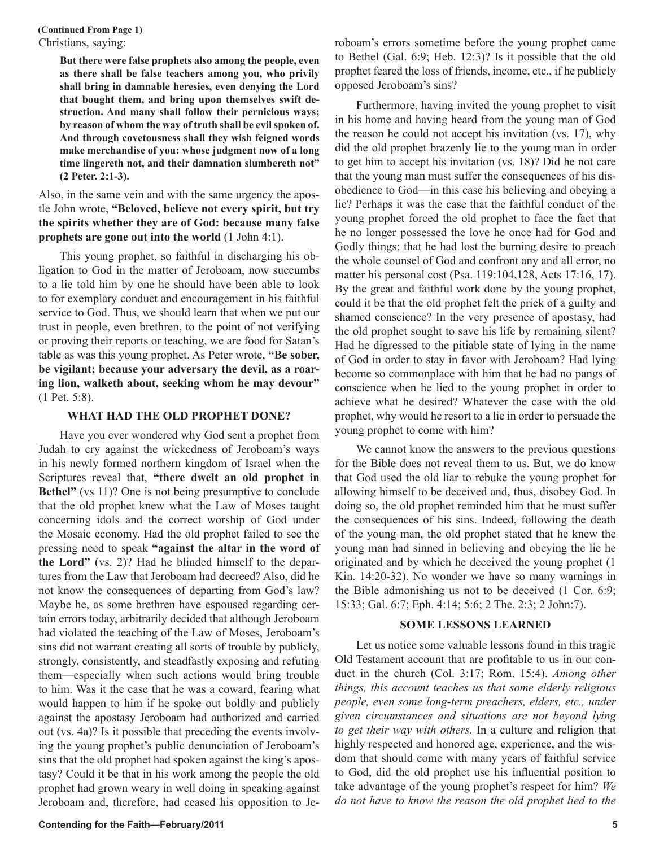Christians, saying: **(Continued From Page 1)**

> **But there were false prophets also among the people, even as there shall be false teachers among you, who privily shall bring in damnable heresies, even denying the Lord that bought them, and bring upon themselves swift destruction. And many shall follow their pernicious ways; by reason of whom the way of truth shall be evil spoken of. And through covetousness shall they wish feigned words make merchandise of you: whose judgment now of a long time lingereth not, and their damnation slumbereth not" (2 Peter. 2:1-3).**

#### Also, in the same vein and with the same urgency the apostle John wrote, **"Beloved, believe not every spirit, but try the spirits whether they are of God: because many false prophets are gone out into the world** (1 John 4:1).

This young prophet, so faithful in discharging his obligation to God in the matter of Jeroboam, now succumbs to a lie told him by one he should have been able to look to for exemplary conduct and encouragement in his faithful service to God. Thus, we should learn that when we put our trust in people, even brethren, to the point of not verifying or proving their reports or teaching, we are food for Satan's table as was this young prophet. As Peter wrote, **"Be sober, be vigilant; because your adversary the devil, as a roaring lion, walketh about, seeking whom he may devour"** (1 Pet. 5:8).

#### **WHAT HAD THE OLD PROPHET DONE?**

Have you ever wondered why God sent a prophet from Judah to cry against the wickedness of Jeroboam's ways in his newly formed northern kingdom of Israel when the Scriptures reveal that, **"there dwelt an old prophet in Bethel"** (vs 11)? One is not being presumptive to conclude that the old prophet knew what the Law of Moses taught concerning idols and the correct worship of God under the Mosaic economy. Had the old prophet failed to see the pressing need to speak **"against the altar in the word of the Lord"** (vs. 2)? Had he blinded himself to the departures from the Law that Jeroboam had decreed? Also, did he not know the consequences of departing from God's law? Maybe he, as some brethren have espoused regarding certain errors today, arbitrarily decided that although Jeroboam had violated the teaching of the Law of Moses, Jeroboam's sins did not warrant creating all sorts of trouble by publicly, strongly, consistently, and steadfastly exposing and refuting them—especially when such actions would bring trouble to him. Was it the case that he was a coward, fearing what would happen to him if he spoke out boldly and publicly against the apostasy Jeroboam had authorized and carried out (vs. 4a)? Is it possible that preceding the events involving the young prophet's public denunciation of Jeroboam's sins that the old prophet had spoken against the king's apostasy? Could it be that in his work among the people the old prophet had grown weary in well doing in speaking against Jeroboam and, therefore, had ceased his opposition to Jeroboam's errors sometime before the young prophet came to Bethel (Gal. 6:9; Heb. 12:3)? Is it possible that the old prophet feared the loss of friends, income, etc., if he publicly opposed Jeroboam's sins?

Furthermore, having invited the young prophet to visit in his home and having heard from the young man of God the reason he could not accept his invitation (vs. 17), why did the old prophet brazenly lie to the young man in order to get him to accept his invitation (vs. 18)? Did he not care that the young man must suffer the consequences of his disobedience to God—in this case his believing and obeying a lie? Perhaps it was the case that the faithful conduct of the young prophet forced the old prophet to face the fact that he no longer possessed the love he once had for God and Godly things; that he had lost the burning desire to preach the whole counsel of God and confront any and all error, no matter his personal cost (Psa. 119:104,128, Acts 17:16, 17). By the great and faithful work done by the young prophet, could it be that the old prophet felt the prick of a guilty and shamed conscience? In the very presence of apostasy, had the old prophet sought to save his life by remaining silent? Had he digressed to the pitiable state of lying in the name of God in order to stay in favor with Jeroboam? Had lying become so commonplace with him that he had no pangs of conscience when he lied to the young prophet in order to achieve what he desired? Whatever the case with the old prophet, why would he resort to a lie in order to persuade the young prophet to come with him?

We cannot know the answers to the previous questions for the Bible does not reveal them to us. But, we do know that God used the old liar to rebuke the young prophet for allowing himself to be deceived and, thus, disobey God. In doing so, the old prophet reminded him that he must suffer the consequences of his sins. Indeed, following the death of the young man, the old prophet stated that he knew the young man had sinned in believing and obeying the lie he originated and by which he deceived the young prophet (1 Kin. 14:20-32). No wonder we have so many warnings in the Bible admonishing us not to be deceived (1 Cor. 6:9; 15:33; Gal. 6:7; Eph. 4:14; 5:6; 2 The. 2:3; 2 John:7).

#### **SOME LESSONS LEARNED**

Let us notice some valuable lessons found in this tragic Old Testament account that are profitable to us in our conduct in the church (Col. 3:17; Rom. 15:4). *Among other things, this account teaches us that some elderly religious people, even some long-term preachers, elders, etc., under given circumstances and situations are not beyond lying to get their way with others.* In a culture and religion that highly respected and honored age, experience, and the wisdom that should come with many years of faithful service to God, did the old prophet use his influential position to take advantage of the young prophet's respect for him? *We do not have to know the reason the old prophet lied to the*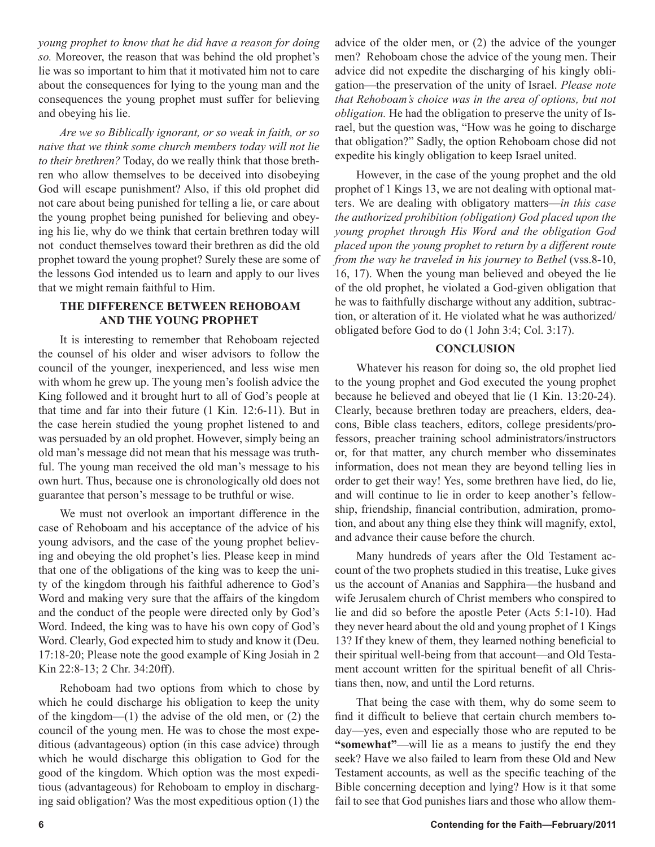*young prophet to know that he did have a reason for doing so.* Moreover, the reason that was behind the old prophet's lie was so important to him that it motivated him not to care about the consequences for lying to the young man and the consequences the young prophet must suffer for believing and obeying his lie.

*Are we so Biblically ignorant, or so weak in faith, or so naive that we think some church members today will not lie to their brethren?* Today, do we really think that those brethren who allow themselves to be deceived into disobeying God will escape punishment? Also, if this old prophet did not care about being punished for telling a lie, or care about the young prophet being punished for believing and obeying his lie, why do we think that certain brethren today will not conduct themselves toward their brethren as did the old prophet toward the young prophet? Surely these are some of the lessons God intended us to learn and apply to our lives that we might remain faithful to Him.

#### **THE DIFFERENCE BETWEEN REHOBOAM AND THE YOUNG PROPHET**

It is interesting to remember that Rehoboam rejected the counsel of his older and wiser advisors to follow the council of the younger, inexperienced, and less wise men with whom he grew up. The young men's foolish advice the King followed and it brought hurt to all of God's people at that time and far into their future (1 Kin. 12:6-11). But in the case herein studied the young prophet listened to and was persuaded by an old prophet. However, simply being an old man's message did not mean that his message was truthful. The young man received the old man's message to his own hurt. Thus, because one is chronologically old does not guarantee that person's message to be truthful or wise.

We must not overlook an important difference in the case of Rehoboam and his acceptance of the advice of his young advisors, and the case of the young prophet believing and obeying the old prophet's lies. Please keep in mind that one of the obligations of the king was to keep the unity of the kingdom through his faithful adherence to God's Word and making very sure that the affairs of the kingdom and the conduct of the people were directed only by God's Word. Indeed, the king was to have his own copy of God's Word. Clearly, God expected him to study and know it (Deu. 17:18-20; Please note the good example of King Josiah in 2 Kin 22:8-13; 2 Chr. 34:20ff).

Rehoboam had two options from which to chose by which he could discharge his obligation to keep the unity of the kingdom—(1) the advise of the old men, or (2) the council of the young men. He was to chose the most expeditious (advantageous) option (in this case advice) through which he would discharge this obligation to God for the good of the kingdom. Which option was the most expeditious (advantageous) for Rehoboam to employ in discharging said obligation? Was the most expeditious option (1) the advice of the older men, or (2) the advice of the younger men? Rehoboam chose the advice of the young men. Their advice did not expedite the discharging of his kingly obligation—the preservation of the unity of Israel. *Please note that Rehoboam's choice was in the area of options, but not obligation.* He had the obligation to preserve the unity of Israel, but the question was, "How was he going to discharge that obligation?" Sadly, the option Rehoboam chose did not expedite his kingly obligation to keep Israel united.

However, in the case of the young prophet and the old prophet of 1 Kings 13, we are not dealing with optional matters. We are dealing with obligatory matters—*in this case the authorized prohibition (obligation) God placed upon the young prophet through His Word and the obligation God placed upon the young prophet to return by a different route from the way he traveled in his journey to Bethel* (vss.8-10, 16, 17). When the young man believed and obeyed the lie of the old prophet, he violated a God-given obligation that he was to faithfully discharge without any addition, subtraction, or alteration of it. He violated what he was authorized/ obligated before God to do (1 John 3:4; Col. 3:17).

#### **CONCLUSION**

Whatever his reason for doing so, the old prophet lied to the young prophet and God executed the young prophet because he believed and obeyed that lie (1 Kin. 13:20-24). Clearly, because brethren today are preachers, elders, deacons, Bible class teachers, editors, college presidents/professors, preacher training school administrators/instructors or, for that matter, any church member who disseminates information, does not mean they are beyond telling lies in order to get their way! Yes, some brethren have lied, do lie, and will continue to lie in order to keep another's fellowship, friendship, financial contribution, admiration, promotion, and about any thing else they think will magnify, extol, and advance their cause before the church.

Many hundreds of years after the Old Testament account of the two prophets studied in this treatise, Luke gives us the account of Ananias and Sapphira—the husband and wife Jerusalem church of Christ members who conspired to lie and did so before the apostle Peter (Acts 5:1-10). Had they never heard about the old and young prophet of 1 Kings 13? If they knew of them, they learned nothing beneficial to their spiritual well-being from that account—and Old Testament account written for the spiritual benefit of all Christians then, now, and until the Lord returns.

That being the case with them, why do some seem to find it difficult to believe that certain church members today—yes, even and especially those who are reputed to be **"somewhat"**—will lie as a means to justify the end they seek? Have we also failed to learn from these Old and New Testament accounts, as well as the specific teaching of the Bible concerning deception and lying? How is it that some fail to see that God punishes liars and those who allow them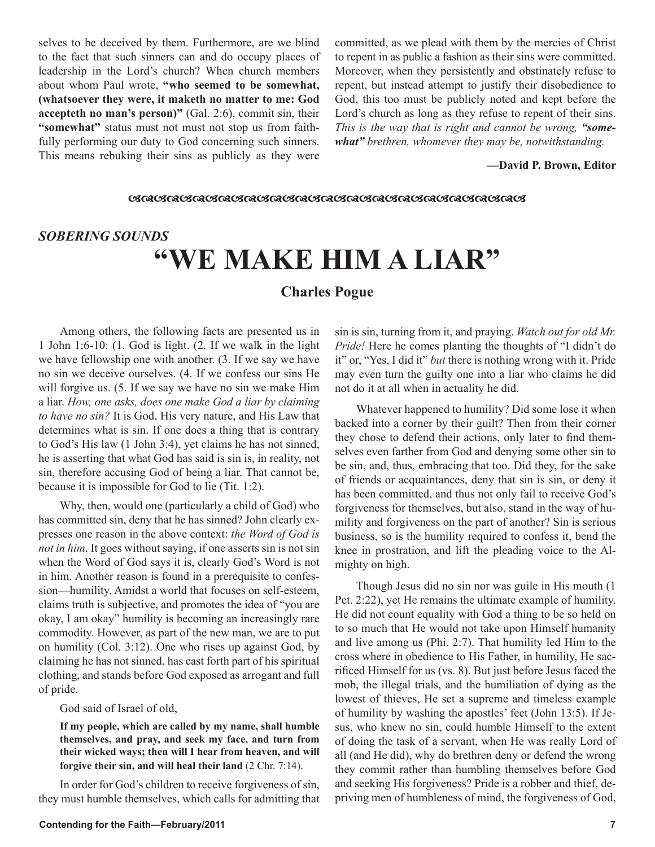selves to be deceived by them. Furthermore, are we blind to the fact that such sinners can and do occupy places of leadership in the Lord's church? When church members about whom Paul wrote, **"who seemed to be somewhat, (whatsoever they were, it maketh no matter to me: God accepteth no man's person)"** (Gal. 2:6), commit sin, their **"somewhat"** status must not must not stop us from faithfully performing our duty to God concerning such sinners. This means rebuking their sins as publicly as they were

committed, as we plead with them by the mercies of Christ to repent in as public a fashion as their sins were committed. Moreover, when they persistently and obstinately refuse to repent, but instead attempt to justify their disobedience to God, this too must be publicly noted and kept before the Lord's church as long as they refuse to repent of their sins. *This is the way that is right and cannot be wrong, "somewhat" brethren, whomever they may be, notwithstanding.*

#### **—David P. Brown, Editor**

#### 

#### *SOBERING SOUNDS*

## **"WE MAKE HIM A LIAR"**

#### **Charles Pogue**

Among others, the following facts are presented us in 1 John 1:6-10: (1. God is light. (2. If we walk in the light we have fellowship one with another. (3. If we say we have no sin we deceive ourselves. (4. If we confess our sins He will forgive us. (5. If we say we have no sin we make Him a liar. *How, one asks, does one make God a liar by claiming to have no sin?* It is God, His very nature, and His Law that determines what is sin. If one does a thing that is contrary to God's His law (1 John 3:4), yet claims he has not sinned, he is asserting that what God has said is sin is, in reality, not sin, therefore accusing God of being a liar. That cannot be, because it is impossible for God to lie (Tit. 1:2).

Why, then, would one (particularly a child of God) who has committed sin, deny that he has sinned? John clearly expresses one reason in the above context: *the Word of God is not in him*. It goes without saying, if one asserts sin is not sin when the Word of God says it is, clearly God's Word is not in him. Another reason is found in a prerequisite to confession—humility. Amidst a world that focuses on self-esteem, claims truth is subjective, and promotes the idea of "you are okay, I am okay" humility is becoming an increasingly rare commodity. However, as part of the new man, we are to put on humility (Col. 3:12). One who rises up against God, by claiming he has not sinned, has cast forth part of his spiritual clothing, and stands before God exposed as arrogant and full of pride.

God said of Israel of old,

**If my people, which are called by my name, shall humble themselves, and pray, and seek my face, and turn from their wicked ways; then will I hear from heaven, and will forgive their sin, and will heal their land** (2 Chr. 7:14).

In order for God's children to receive forgiveness of sin, they must humble themselves, which calls for admitting that sin is sin, turning from it, and praying. *Watch out for old Mr. Pride!* Here he comes planting the thoughts of "I didn't do it" or, "Yes, I did it" *but* there is nothing wrong with it. Pride may even turn the guilty one into a liar who claims he did not do it at all when in actuality he did.

Whatever happened to humility? Did some lose it when backed into a corner by their guilt? Then from their corner they chose to defend their actions, only later to find themselves even farther from God and denying some other sin to be sin, and, thus, embracing that too. Did they, for the sake of friends or acquaintances, deny that sin is sin, or deny it has been committed, and thus not only fail to receive God's forgiveness for themselves, but also, stand in the way of humility and forgiveness on the part of another? Sin is serious business, so is the humility required to confess it, bend the knee in prostration, and lift the pleading voice to the Almighty on high.

Though Jesus did no sin nor was guile in His mouth (1 Pet. 2:22), yet He remains the ultimate example of humility. He did not count equality with God a thing to be so held on to so much that He would not take upon Himself humanity and live among us (Phi. 2:7). That humility led Him to the cross where in obedience to His Father, in humility, He sacrificed Himself for us (vs. 8). But just before Jesus faced the mob, the illegal trials, and the humiliation of dying as the lowest of thieves, He set a supreme and timeless example of humility by washing the apostles' feet (John 13:5). If Jesus, who knew no sin, could humble Himself to the extent of doing the task of a servant, when He was really Lord of all (and He did), why do brethren deny or defend the wrong they commit rather than humbling themselves before God and seeking His forgiveness? Pride is a robber and thief, depriving men of humbleness of mind, the forgiveness of God,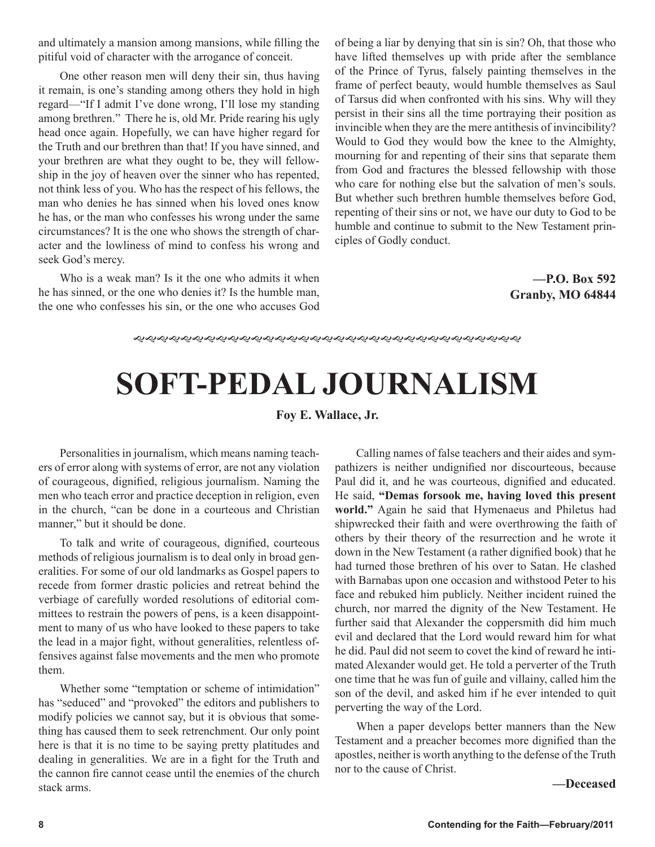and ultimately a mansion among mansions, while filling the pitiful void of character with the arrogance of conceit.

One other reason men will deny their sin, thus having it remain, is one's standing among others they hold in high regard—"If I admit I've done wrong, I'll lose my standing among brethren." There he is, old Mr. Pride rearing his ugly head once again. Hopefully, we can have higher regard for the Truth and our brethren than that! If you have sinned, and your brethren are what they ought to be, they will fellowship in the joy of heaven over the sinner who has repented, not think less of you. Who has the respect of his fellows, the man who denies he has sinned when his loved ones know he has, or the man who confesses his wrong under the same circumstances? It is the one who shows the strength of character and the lowliness of mind to confess his wrong and seek God's mercy.

Who is a weak man? Is it the one who admits it when he has sinned, or the one who denies it? Is the humble man, the one who confesses his sin, or the one who accuses God of being a liar by denying that sin is sin? Oh, that those who have lifted themselves up with pride after the semblance of the Prince of Tyrus, falsely painting themselves in the frame of perfect beauty, would humble themselves as Saul of Tarsus did when confronted with his sins. Why will they persist in their sins all the time portraying their position as invincible when they are the mere antithesis of invincibility? Would to God they would bow the knee to the Almighty, mourning for and repenting of their sins that separate them from God and fractures the blessed fellowship with those who care for nothing else but the salvation of men's souls. But whether such brethren humble themselves before God, repenting of their sins or not, we have our duty to God to be humble and continue to submit to the New Testament principles of Godly conduct.

#### **—P.O. Box 592 Granby, MO 64844**

# **SOFT-PEDAL JOURNALISM**

#### **Foy E. Wallace, Jr.**

Personalities in journalism, which means naming teachers of error along with systems of error, are not any violation of courageous, dignified, religious journalism. Naming the men who teach error and practice deception in religion, even in the church, "can be done in a courteous and Christian manner," but it should be done.

To talk and write of courageous, dignified, courteous methods of religious journalism is to deal only in broad generalities. For some of our old landmarks as Gospel papers to recede from former drastic policies and retreat behind the verbiage of carefully worded resolutions of editorial committees to restrain the powers of pens, is a keen disappointment to many of us who have looked to these papers to take the lead in a major fight, without generalities, relentless offensives against false movements and the men who promote them.

Whether some "temptation or scheme of intimidation" has "seduced" and "provoked" the editors and publishers to modify policies we cannot say, but it is obvious that something has caused them to seek retrenchment. Our only point here is that it is no time to be saying pretty platitudes and dealing in generalities. We are in a fight for the Truth and the cannon fire cannot cease until the enemies of the church stack arms.

Calling names of false teachers and their aides and sympathizers is neither undignified nor discourteous, because Paul did it, and he was courteous, dignified and educated. He said, **"Demas forsook me, having loved this present world."** Again he said that Hymenaeus and Philetus had shipwrecked their faith and were overthrowing the faith of others by their theory of the resurrection and he wrote it down in the New Testament (a rather dignified book) that he had turned those brethren of his over to Satan. He clashed with Barnabas upon one occasion and withstood Peter to his face and rebuked him publicly. Neither incident ruined the church, nor marred the dignity of the New Testament. He further said that Alexander the coppersmith did him much evil and declared that the Lord would reward him for what he did. Paul did not seem to covet the kind of reward he intimated Alexander would get. He told a perverter of the Truth one time that he was fun of guile and villainy, called him the son of the devil, and asked him if he ever intended to quit perverting the way of the Lord.

When a paper develops better manners than the New Testament and a preacher becomes more dignified than the apostles, neither is worth anything to the defense of the Truth nor to the cause of Christ.

#### **—Deceased**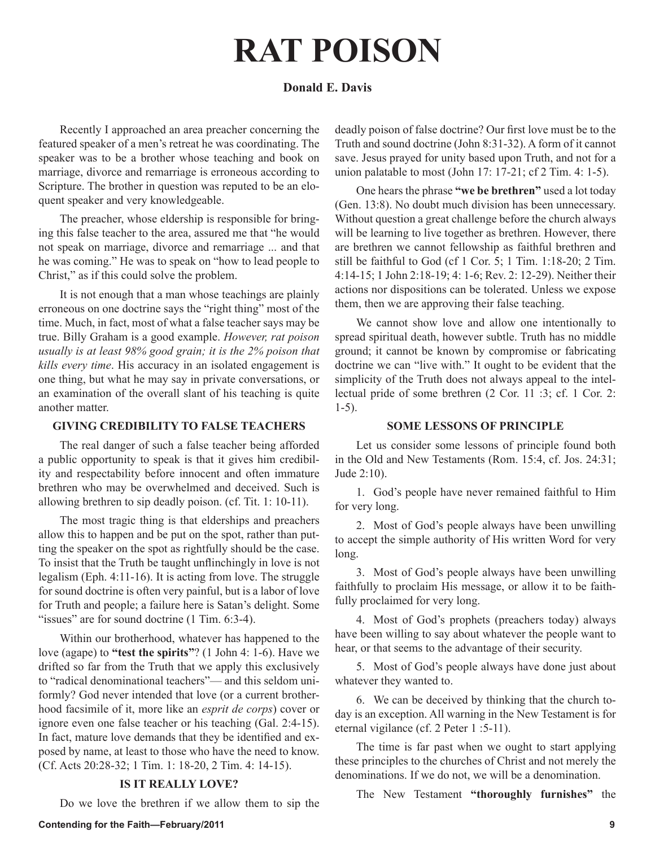# **RAT POISON**

#### **Donald E. Davis**

Recently I approached an area preacher concerning the featured speaker of a men's retreat he was coordinating. The speaker was to be a brother whose teaching and book on marriage, divorce and remarriage is erroneous according to Scripture. The brother in question was reputed to be an eloquent speaker and very knowledgeable.

The preacher, whose eldership is responsible for bringing this false teacher to the area, assured me that "he would not speak on marriage, divorce and remarriage ... and that he was coming." He was to speak on "how to lead people to Christ," as if this could solve the problem.

It is not enough that a man whose teachings are plainly erroneous on one doctrine says the "right thing" most of the time. Much, in fact, most of what a false teacher says may be true. Billy Graham is a good example. *However, rat poison usually is at least 98% good grain; it is the 2% poison that kills every time*. His accuracy in an isolated engagement is one thing, but what he may say in private conversations, or an examination of the overall slant of his teaching is quite another matter.

#### **GIVING CREDIBILITY TO FALSE TEACHERS**

The real danger of such a false teacher being afforded a public opportunity to speak is that it gives him credibility and respectability before innocent and often immature brethren who may be overwhelmed and deceived. Such is allowing brethren to sip deadly poison. (cf. Tit. 1: 10-11).

The most tragic thing is that elderships and preachers allow this to happen and be put on the spot, rather than putting the speaker on the spot as rightfully should be the case. To insist that the Truth be taught unflinchingly in love is not legalism (Eph. 4:11-16). It is acting from love. The struggle for sound doctrine is often very painful, but is a labor of love for Truth and people; a failure here is Satan's delight. Some "issues" are for sound doctrine (1 Tim. 6:3-4).

Within our brotherhood, whatever has happened to the love (agape) to **"test the spirits"**? (1 John 4: 1-6). Have we drifted so far from the Truth that we apply this exclusively to "radical denominational teachers"— and this seldom uniformly? God never intended that love (or a current brotherhood facsimile of it, more like an *esprit de corps*) cover or ignore even one false teacher or his teaching (Gal. 2:4-15). In fact, mature love demands that they be identified and exposed by name, at least to those who have the need to know. (Cf. Acts 20:28-32; 1 Tim. 1: 18-20, 2 Tim. 4: 14-15).

#### **IS IT REALLY LOVE?**

Do we love the brethren if we allow them to sip the

deadly poison of false doctrine? Our first love must be to the Truth and sound doctrine (John 8:31-32). A form of it cannot save. Jesus prayed for unity based upon Truth, and not for a union palatable to most (John 17: 17-21; cf 2 Tim. 4: 1-5).

One hears the phrase **"we be brethren"** used a lot today (Gen. 13:8). No doubt much division has been unnecessary. Without question a great challenge before the church always will be learning to live together as brethren. However, there are brethren we cannot fellowship as faithful brethren and still be faithful to God (cf 1 Cor. 5; 1 Tim. 1:18-20; 2 Tim. 4:14-15; 1 John 2:18-19; 4: 1-6; Rev. 2: 12-29). Neither their actions nor dispositions can be tolerated. Unless we expose them, then we are approving their false teaching.

We cannot show love and allow one intentionally to spread spiritual death, however subtle. Truth has no middle ground; it cannot be known by compromise or fabricating doctrine we can "live with." It ought to be evident that the simplicity of the Truth does not always appeal to the intellectual pride of some brethren (2 Cor. 11 :3; cf. 1 Cor. 2: 1-5).

#### **SOME LESSONS OF PRINCIPLE**

Let us consider some lessons of principle found both in the Old and New Testaments (Rom. 15:4, cf. Jos. 24:31; Jude 2:10).

1. God's people have never remained faithful to Him for very long.

2. Most of God's people always have been unwilling to accept the simple authority of His written Word for very long.

3. Most of God's people always have been unwilling faithfully to proclaim His message, or allow it to be faithfully proclaimed for very long.

4. Most of God's prophets (preachers today) always have been willing to say about whatever the people want to hear, or that seems to the advantage of their security.

5. Most of God's people always have done just about whatever they wanted to.

6. We can be deceived by thinking that the church today is an exception. All warning in the New Testament is for eternal vigilance (cf. 2 Peter 1 :5-11).

The time is far past when we ought to start applying these principles to the churches of Christ and not merely the denominations. If we do not, we will be a denomination.

The New Testament **"thoroughly furnishes"** the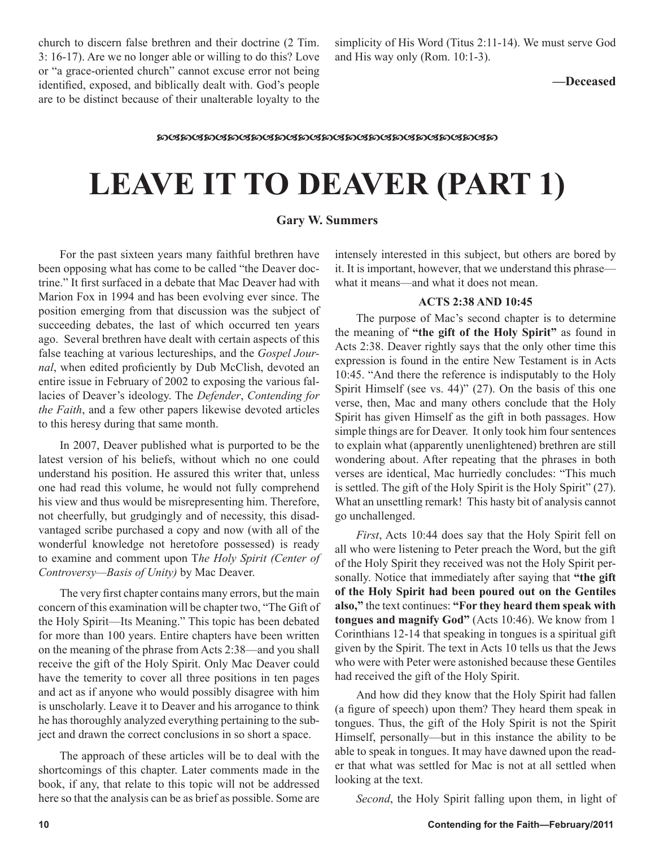church to discern false brethren and their doctrine (2 Tim. 3: 16-17). Are we no longer able or willing to do this? Love or "a grace-oriented church" cannot excuse error not being identified, exposed, and biblically dealt with. God's people are to be distinct because of their unalterable loyalty to the simplicity of His Word (Titus 2:11-14). We must serve God and His way only (Rom. 10:1-3).

**—Deceased**

#### **෨ඦ෨ඦ෨ඦ෨ඦ෨ඦ෨ඦ෨ඦ෨ඦ෨ඦ෨ඦ෨ඦ෨ඦ෨ඦ෨ඦ෨**

## **LEAVE IT TO DEAVER (PART 1)**

#### **Gary W. Summers**

For the past sixteen years many faithful brethren have been opposing what has come to be called "the Deaver doctrine." It first surfaced in a debate that Mac Deaver had with Marion Fox in 1994 and has been evolving ever since. The position emerging from that discussion was the subject of succeeding debates, the last of which occurred ten years ago. Several brethren have dealt with certain aspects of this false teaching at various lectureships, and the *Gospel Journal*, when edited proficiently by Dub McClish, devoted an entire issue in February of 2002 to exposing the various fallacies of Deaver's ideology. The *Defender*, *Contending for the Faith*, and a few other papers likewise devoted articles to this heresy during that same month.

In 2007, Deaver published what is purported to be the latest version of his beliefs, without which no one could understand his position. He assured this writer that, unless one had read this volume, he would not fully comprehend his view and thus would be misrepresenting him. Therefore, not cheerfully, but grudgingly and of necessity, this disadvantaged scribe purchased a copy and now (with all of the wonderful knowledge not heretofore possessed) is ready to examine and comment upon T*he Holy Spirit (Center of Controversy—Basis of Unity)* by Mac Deaver.

The very first chapter contains many errors, but the main concern of this examination will be chapter two, "The Gift of the Holy Spirit—Its Meaning." This topic has been debated for more than 100 years. Entire chapters have been written on the meaning of the phrase from Acts 2:38—and you shall receive the gift of the Holy Spirit. Only Mac Deaver could have the temerity to cover all three positions in ten pages and act as if anyone who would possibly disagree with him is unscholarly. Leave it to Deaver and his arrogance to think he has thoroughly analyzed everything pertaining to the subject and drawn the correct conclusions in so short a space.

The approach of these articles will be to deal with the shortcomings of this chapter. Later comments made in the book, if any, that relate to this topic will not be addressed here so that the analysis can be as brief as possible. Some are

intensely interested in this subject, but others are bored by it. It is important, however, that we understand this phrase what it means—and what it does not mean.

#### **ACTS 2:38 AND 10:45**

The purpose of Mac's second chapter is to determine the meaning of **"the gift of the Holy Spirit"** as found in Acts 2:38. Deaver rightly says that the only other time this expression is found in the entire New Testament is in Acts 10:45. "And there the reference is indisputably to the Holy Spirit Himself (see vs. 44)" (27). On the basis of this one verse, then, Mac and many others conclude that the Holy Spirit has given Himself as the gift in both passages. How simple things are for Deaver. It only took him four sentences to explain what (apparently unenlightened) brethren are still wondering about. After repeating that the phrases in both verses are identical, Mac hurriedly concludes: "This much is settled. The gift of the Holy Spirit is the Holy Spirit" (27). What an unsettling remark! This hasty bit of analysis cannot go unchallenged.

*First*, Acts 10:44 does say that the Holy Spirit fell on all who were listening to Peter preach the Word, but the gift of the Holy Spirit they received was not the Holy Spirit personally. Notice that immediately after saying that **"the gift of the Holy Spirit had been poured out on the Gentiles also,"** the text continues: **"For they heard them speak with tongues and magnify God"** (Acts 10:46). We know from 1 Corinthians 12-14 that speaking in tongues is a spiritual gift given by the Spirit. The text in Acts 10 tells us that the Jews who were with Peter were astonished because these Gentiles had received the gift of the Holy Spirit.

And how did they know that the Holy Spirit had fallen (a figure of speech) upon them? They heard them speak in tongues. Thus, the gift of the Holy Spirit is not the Spirit Himself, personally—but in this instance the ability to be able to speak in tongues. It may have dawned upon the reader that what was settled for Mac is not at all settled when looking at the text.

*Second*, the Holy Spirit falling upon them, in light of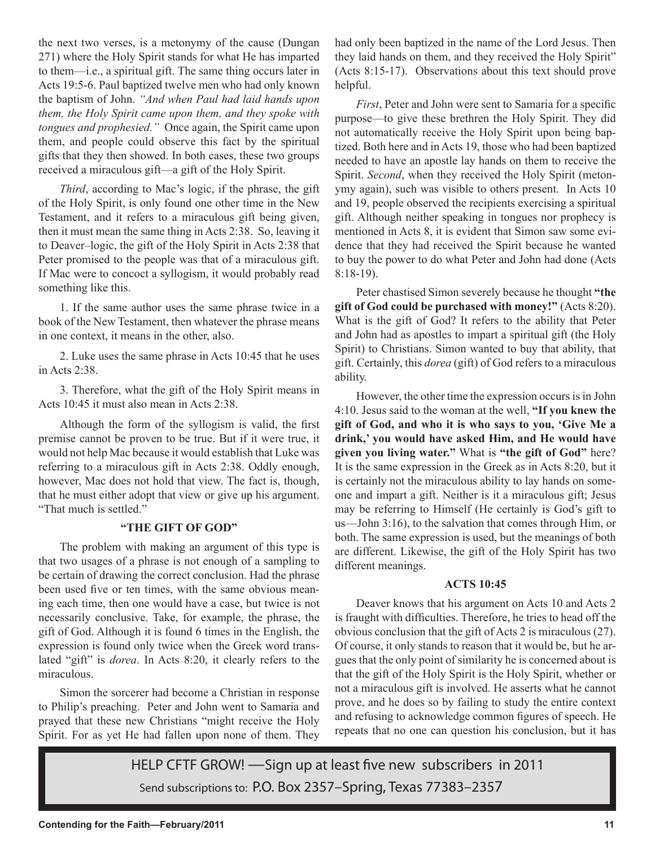the next two verses, is a metonymy of the cause (Dungan 271) where the Holy Spirit stands for what He has imparted to them—i.e., a spiritual gift. The same thing occurs later in Acts 19:5-6. Paul baptized twelve men who had only known the baptism of John. *"And when Paul had laid hands upon them, the Holy Spirit came upon them, and they spoke with tongues and prophesied."* Once again, the Spirit came upon them, and people could observe this fact by the spiritual gifts that they then showed. In both cases, these two groups received a miraculous gift—a gift of the Holy Spirit.

*Third*, according to Mac's logic, if the phrase, the gift of the Holy Spirit, is only found one other time in the New Testament, and it refers to a miraculous gift being given, then it must mean the same thing in Acts 2:38. So, leaving it to Deaver–logic, the gift of the Holy Spirit in Acts 2:38 that Peter promised to the people was that of a miraculous gift. If Mac were to concoct a syllogism, it would probably read something like this.

1. If the same author uses the same phrase twice in a book of the New Testament, then whatever the phrase means in one context, it means in the other, also.

2. Luke uses the same phrase in Acts 10:45 that he uses in Acts 2:38.

3. Therefore, what the gift of the Holy Spirit means in Acts 10:45 it must also mean in Acts 2:38.

Although the form of the syllogism is valid, the first premise cannot be proven to be true. But if it were true, it would not help Mac because it would establish that Luke was referring to a miraculous gift in Acts 2:38. Oddly enough, however, Mac does not hold that view. The fact is, though, that he must either adopt that view or give up his argument. "That much is settled."

#### **"THE GIFT OF GOD"**

The problem with making an argument of this type is that two usages of a phrase is not enough of a sampling to be certain of drawing the correct conclusion. Had the phrase been used five or ten times, with the same obvious meaning each time, then one would have a case, but twice is not necessarily conclusive. Take, for example, the phrase, the gift of God. Although it is found 6 times in the English, the expression is found only twice when the Greek word translated "gift" is *dorea*. In Acts 8:20, it clearly refers to the miraculous.

Simon the sorcerer had become a Christian in response to Philip's preaching. Peter and John went to Samaria and prayed that these new Christians "might receive the Holy Spirit. For as yet He had fallen upon none of them. They

had only been baptized in the name of the Lord Jesus. Then they laid hands on them, and they received the Holy Spirit" (Acts 8:15-17). Observations about this text should prove helpful.

*First*, Peter and John were sent to Samaria for a specific purpose—to give these brethren the Holy Spirit. They did not automatically receive the Holy Spirit upon being baptized. Both here and in Acts 19, those who had been baptized needed to have an apostle lay hands on them to receive the Spirit. *Second*, when they received the Holy Spirit (metonymy again), such was visible to others present. In Acts 10 and 19, people observed the recipients exercising a spiritual gift. Although neither speaking in tongues nor prophecy is mentioned in Acts 8, it is evident that Simon saw some evidence that they had received the Spirit because he wanted to buy the power to do what Peter and John had done (Acts 8:18-19).

Peter chastised Simon severely because he thought **"the gift of God could be purchased with money!"** (Acts 8:20). What is the gift of God? It refers to the ability that Peter and John had as apostles to impart a spiritual gift (the Holy Spirit) to Christians. Simon wanted to buy that ability, that gift. Certainly, this *dorea* (gift) of God refers to a miraculous ability.

However, the other time the expression occurs is in John 4:10. Jesus said to the woman at the well, **"If you knew the gift of God, and who it is who says to you, 'Give Me a drink,' you would have asked Him, and He would have given you living water."** What is **"the gift of God"** here? It is the same expression in the Greek as in Acts 8:20, but it is certainly not the miraculous ability to lay hands on someone and impart a gift. Neither is it a miraculous gift; Jesus may be referring to Himself (He certainly is God's gift to us—John 3:16), to the salvation that comes through Him, or both. The same expression is used, but the meanings of both are different. Likewise, the gift of the Holy Spirit has two different meanings.

#### **ACTS 10:45**

Deaver knows that his argument on Acts 10 and Acts 2 is fraught with difficulties. Therefore, he tries to head off the obvious conclusion that the gift of Acts 2 is miraculous (27). Of course, it only stands to reason that it would be, but he argues that the only point of similarity he is concerned about is that the gift of the Holy Spirit is the Holy Spirit, whether or not a miraculous gift is involved. He asserts what he cannot prove, and he does so by failing to study the entire context and refusing to acknowledge common figures of speech. He repeats that no one can question his conclusion, but it has

HELP CFTF GROW! —Sign up at least five new subscribers in 2011 Send subscriptions to: P.O. Box 2357–Spring, Texas 77383–2357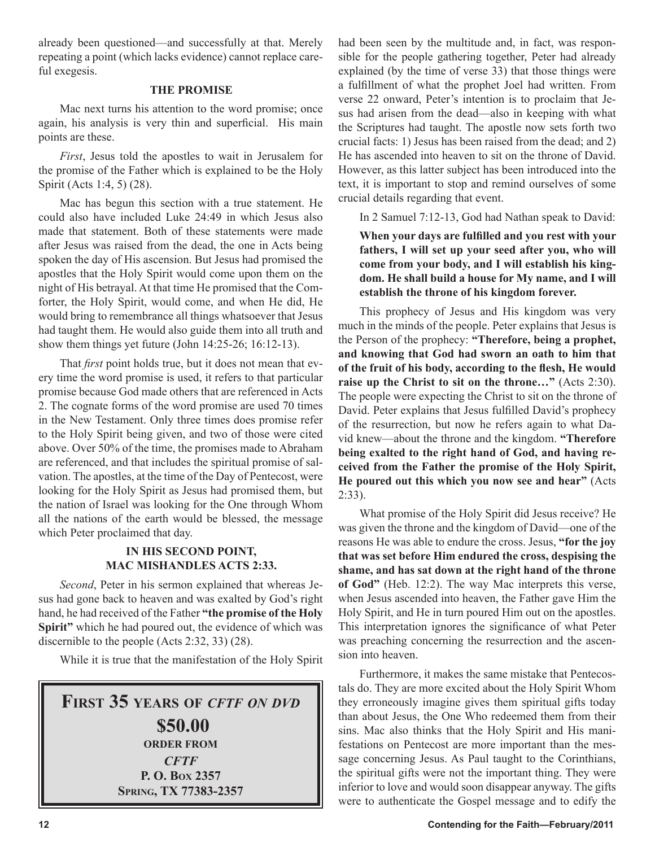already been questioned—and successfully at that. Merely repeating a point (which lacks evidence) cannot replace careful exegesis.

#### **THE PROMISE**

Mac next turns his attention to the word promise; once again, his analysis is very thin and superficial. His main points are these.

*First*, Jesus told the apostles to wait in Jerusalem for the promise of the Father which is explained to be the Holy Spirit (Acts 1:4, 5) (28).

Mac has begun this section with a true statement. He could also have included Luke 24:49 in which Jesus also made that statement. Both of these statements were made after Jesus was raised from the dead, the one in Acts being spoken the day of His ascension. But Jesus had promised the apostles that the Holy Spirit would come upon them on the night of His betrayal. At that time He promised that the Comforter, the Holy Spirit, would come, and when He did, He would bring to remembrance all things whatsoever that Jesus had taught them. He would also guide them into all truth and show them things yet future (John 14:25-26; 16:12-13).

That *first* point holds true, but it does not mean that every time the word promise is used, it refers to that particular promise because God made others that are referenced in Acts 2. The cognate forms of the word promise are used 70 times in the New Testament. Only three times does promise refer to the Holy Spirit being given, and two of those were cited above. Over 50% of the time, the promises made to Abraham are referenced, and that includes the spiritual promise of salvation. The apostles, at the time of the Day of Pentecost, were looking for the Holy Spirit as Jesus had promised them, but the nation of Israel was looking for the One through Whom all the nations of the earth would be blessed, the message which Peter proclaimed that day.

#### **IN HIS SECOND POINT, MAC MISHANDLES ACTS 2:33.**

*Second*, Peter in his sermon explained that whereas Jesus had gone back to heaven and was exalted by God's right hand, he had received of the Father **"the promise of the Holy Spirit"** which he had poured out, the evidence of which was discernible to the people (Acts 2:32, 33) (28).

While it is true that the manifestation of the Holy Spirit

## **FIRST 35 YEARS OF** *CFTF ON DVD* **\$50.00 ORDER FROM** *CFTF* **P. O. BOX 2357 SPRING, TX 77383-2357**

had been seen by the multitude and, in fact, was responsible for the people gathering together, Peter had already explained (by the time of verse 33) that those things were a fulfillment of what the prophet Joel had written. From verse 22 onward, Peter's intention is to proclaim that Jesus had arisen from the dead—also in keeping with what the Scriptures had taught. The apostle now sets forth two crucial facts: 1) Jesus has been raised from the dead; and 2) He has ascended into heaven to sit on the throne of David. However, as this latter subject has been introduced into the text, it is important to stop and remind ourselves of some crucial details regarding that event.

In 2 Samuel 7:12-13, God had Nathan speak to David:

**When your days are fulfilled and you rest with your fathers, I will set up your seed after you, who will come from your body, and I will establish his kingdom. He shall build a house for My name, and I will establish the throne of his kingdom forever.**

This prophecy of Jesus and His kingdom was very much in the minds of the people. Peter explains that Jesus is the Person of the prophecy: **"Therefore, being a prophet, and knowing that God had sworn an oath to him that of the fruit of his body, according to the flesh, He would raise up the Christ to sit on the throne…"** (Acts 2:30). The people were expecting the Christ to sit on the throne of David. Peter explains that Jesus fulfilled David's prophecy of the resurrection, but now he refers again to what David knew—about the throne and the kingdom. **"Therefore being exalted to the right hand of God, and having received from the Father the promise of the Holy Spirit, He poured out this which you now see and hear"** (Acts 2:33).

What promise of the Holy Spirit did Jesus receive? He was given the throne and the kingdom of David—one of the reasons He was able to endure the cross. Jesus, **"for the joy that was set before Him endured the cross, despising the shame, and has sat down at the right hand of the throne of God"** (Heb. 12:2). The way Mac interprets this verse, when Jesus ascended into heaven, the Father gave Him the Holy Spirit, and He in turn poured Him out on the apostles. This interpretation ignores the significance of what Peter was preaching concerning the resurrection and the ascension into heaven.

Furthermore, it makes the same mistake that Pentecostals do. They are more excited about the Holy Spirit Whom they erroneously imagine gives them spiritual gifts today than about Jesus, the One Who redeemed them from their sins. Mac also thinks that the Holy Spirit and His manifestations on Pentecost are more important than the message concerning Jesus. As Paul taught to the Corinthians, the spiritual gifts were not the important thing. They were inferior to love and would soon disappear anyway. The gifts were to authenticate the Gospel message and to edify the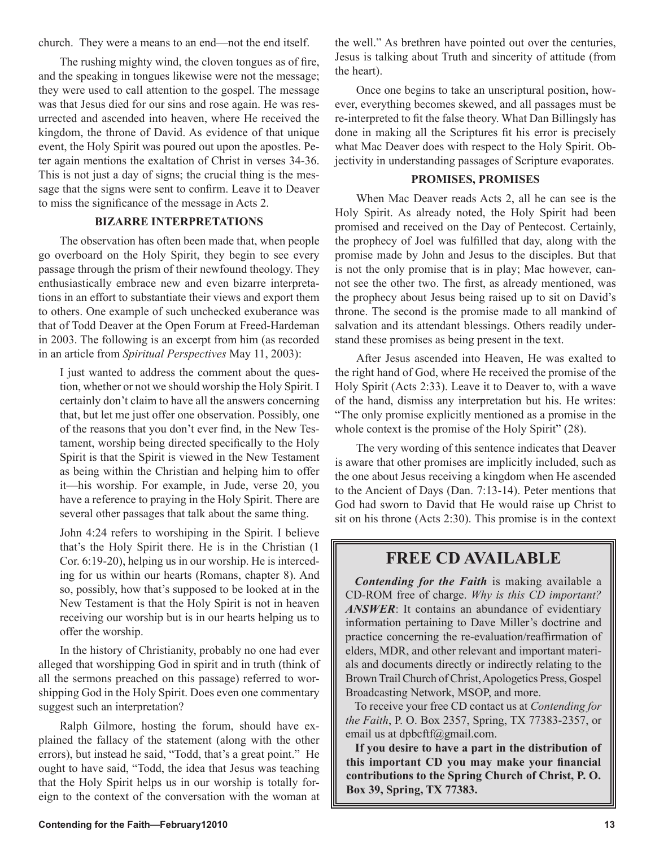church. They were a means to an end—not the end itself.

The rushing mighty wind, the cloven tongues as of fire, and the speaking in tongues likewise were not the message; they were used to call attention to the gospel. The message was that Jesus died for our sins and rose again. He was resurrected and ascended into heaven, where He received the kingdom, the throne of David. As evidence of that unique event, the Holy Spirit was poured out upon the apostles. Peter again mentions the exaltation of Christ in verses 34-36. This is not just a day of signs; the crucial thing is the message that the signs were sent to confirm. Leave it to Deaver to miss the significance of the message in Acts 2.

#### **BIZARRE INTERPRETATIONS**

The observation has often been made that, when people go overboard on the Holy Spirit, they begin to see every passage through the prism of their newfound theology. They enthusiastically embrace new and even bizarre interpretations in an effort to substantiate their views and export them to others. One example of such unchecked exuberance was that of Todd Deaver at the Open Forum at Freed-Hardeman in 2003. The following is an excerpt from him (as recorded in an article from *Spiritual Perspectives* May 11, 2003):

I just wanted to address the comment about the question, whether or not we should worship the Holy Spirit. I certainly don't claim to have all the answers concerning that, but let me just offer one observation. Possibly, one of the reasons that you don't ever find, in the New Testament, worship being directed specifically to the Holy Spirit is that the Spirit is viewed in the New Testament as being within the Christian and helping him to offer it—his worship. For example, in Jude, verse 20, you have a reference to praying in the Holy Spirit. There are several other passages that talk about the same thing.

John 4:24 refers to worshiping in the Spirit. I believe that's the Holy Spirit there. He is in the Christian (1 Cor. 6:19-20), helping us in our worship. He is interceding for us within our hearts (Romans, chapter 8). And so, possibly, how that's supposed to be looked at in the New Testament is that the Holy Spirit is not in heaven receiving our worship but is in our hearts helping us to offer the worship.

In the history of Christianity, probably no one had ever alleged that worshipping God in spirit and in truth (think of all the sermons preached on this passage) referred to worshipping God in the Holy Spirit. Does even one commentary suggest such an interpretation?

Ralph Gilmore, hosting the forum, should have explained the fallacy of the statement (along with the other errors), but instead he said, "Todd, that's a great point." He ought to have said, "Todd, the idea that Jesus was teaching that the Holy Spirit helps us in our worship is totally foreign to the context of the conversation with the woman at the well." As brethren have pointed out over the centuries, Jesus is talking about Truth and sincerity of attitude (from the heart).

Once one begins to take an unscriptural position, however, everything becomes skewed, and all passages must be re-interpreted to fit the false theory. What Dan Billingsly has done in making all the Scriptures fit his error is precisely what Mac Deaver does with respect to the Holy Spirit. Objectivity in understanding passages of Scripture evaporates.

#### **PROMISES, PROMISES**

When Mac Deaver reads Acts 2, all he can see is the Holy Spirit. As already noted, the Holy Spirit had been promised and received on the Day of Pentecost. Certainly, the prophecy of Joel was fulfilled that day, along with the promise made by John and Jesus to the disciples. But that is not the only promise that is in play; Mac however, cannot see the other two. The first, as already mentioned, was the prophecy about Jesus being raised up to sit on David's throne. The second is the promise made to all mankind of salvation and its attendant blessings. Others readily understand these promises as being present in the text.

After Jesus ascended into Heaven, He was exalted to the right hand of God, where He received the promise of the Holy Spirit (Acts 2:33). Leave it to Deaver to, with a wave of the hand, dismiss any interpretation but his. He writes: "The only promise explicitly mentioned as a promise in the whole context is the promise of the Holy Spirit" (28).

The very wording of this sentence indicates that Deaver is aware that other promises are implicitly included, such as the one about Jesus receiving a kingdom when He ascended to the Ancient of Days (Dan. 7:13-14). Peter mentions that God had sworn to David that He would raise up Christ to sit on his throne (Acts 2:30). This promise is in the context

### **FREE CD AVAILABLE**

*Contending for the Faith* is making available a CD-ROM free of charge. *Why is this CD important? ANSWER*: It contains an abundance of evidentiary information pertaining to Dave Miller's doctrine and practice concerning the re-evaluation/reaffirmation of elders, MDR, and other relevant and important materials and documents directly or indirectly relating to the Brown Trail Church of Christ, Apologetics Press, Gospel Broadcasting Network, MSOP, and more.

To receive your free CD contact us at *Contending for the Faith*, P. O. Box 2357, Spring, TX 77383-2357, or email us at dpbcftf@gmail.com.

**If you desire to have a part in the distribution of this important CD you may make your financial contributions to the Spring Church of Christ, P. O. Box 39, Spring, TX 77383.**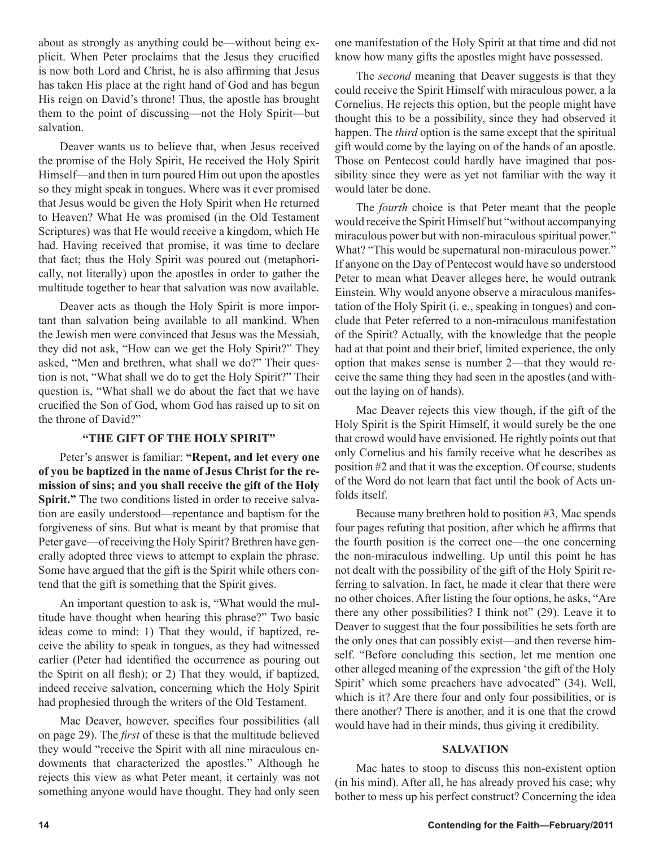about as strongly as anything could be—without being explicit. When Peter proclaims that the Jesus they crucified is now both Lord and Christ, he is also affirming that Jesus has taken His place at the right hand of God and has begun His reign on David's throne! Thus, the apostle has brought them to the point of discussing—not the Holy Spirit—but salvation.

Deaver wants us to believe that, when Jesus received the promise of the Holy Spirit, He received the Holy Spirit Himself—and then in turn poured Him out upon the apostles so they might speak in tongues. Where was it ever promised that Jesus would be given the Holy Spirit when He returned to Heaven? What He was promised (in the Old Testament Scriptures) was that He would receive a kingdom, which He had. Having received that promise, it was time to declare that fact; thus the Holy Spirit was poured out (metaphorically, not literally) upon the apostles in order to gather the multitude together to hear that salvation was now available.

Deaver acts as though the Holy Spirit is more important than salvation being available to all mankind. When the Jewish men were convinced that Jesus was the Messiah, they did not ask, "How can we get the Holy Spirit?" They asked, "Men and brethren, what shall we do?" Their question is not, "What shall we do to get the Holy Spirit?" Their question is, "What shall we do about the fact that we have crucified the Son of God, whom God has raised up to sit on the throne of David?"

#### **"THE GIFT OF THE HOLY SPIRIT"**

Peter's answer is familiar: **"Repent, and let every one of you be baptized in the name of Jesus Christ for the remission of sins; and you shall receive the gift of the Holy Spirit."** The two conditions listed in order to receive salvation are easily understood—repentance and baptism for the forgiveness of sins. But what is meant by that promise that Peter gave—of receiving the Holy Spirit? Brethren have generally adopted three views to attempt to explain the phrase. Some have argued that the gift is the Spirit while others contend that the gift is something that the Spirit gives.

An important question to ask is, "What would the multitude have thought when hearing this phrase?" Two basic ideas come to mind: 1) That they would, if baptized, receive the ability to speak in tongues, as they had witnessed earlier (Peter had identified the occurrence as pouring out the Spirit on all flesh); or 2) That they would, if baptized, indeed receive salvation, concerning which the Holy Spirit had prophesied through the writers of the Old Testament.

Mac Deaver, however, specifies four possibilities (all on page 29). The *first* of these is that the multitude believed they would "receive the Spirit with all nine miraculous endowments that characterized the apostles." Although he rejects this view as what Peter meant, it certainly was not something anyone would have thought. They had only seen one manifestation of the Holy Spirit at that time and did not know how many gifts the apostles might have possessed.

The *second* meaning that Deaver suggests is that they could receive the Spirit Himself with miraculous power, a la Cornelius. He rejects this option, but the people might have thought this to be a possibility, since they had observed it happen. The *third* option is the same except that the spiritual gift would come by the laying on of the hands of an apostle. Those on Pentecost could hardly have imagined that possibility since they were as yet not familiar with the way it would later be done.

The *fourth* choice is that Peter meant that the people would receive the Spirit Himself but "without accompanying miraculous power but with non-miraculous spiritual power." What? "This would be supernatural non-miraculous power." If anyone on the Day of Pentecost would have so understood Peter to mean what Deaver alleges here, he would outrank Einstein. Why would anyone observe a miraculous manifestation of the Holy Spirit (i. e., speaking in tongues) and conclude that Peter referred to a non-miraculous manifestation of the Spirit? Actually, with the knowledge that the people had at that point and their brief, limited experience, the only option that makes sense is number 2—that they would receive the same thing they had seen in the apostles (and without the laying on of hands).

Mac Deaver rejects this view though, if the gift of the Holy Spirit is the Spirit Himself, it would surely be the one that crowd would have envisioned. He rightly points out that only Cornelius and his family receive what he describes as position #2 and that it was the exception. Of course, students of the Word do not learn that fact until the book of Acts unfolds itself.

Because many brethren hold to position #3, Mac spends four pages refuting that position, after which he affirms that the fourth position is the correct one—the one concerning the non-miraculous indwelling. Up until this point he has not dealt with the possibility of the gift of the Holy Spirit referring to salvation. In fact, he made it clear that there were no other choices. After listing the four options, he asks, "Are there any other possibilities? I think not" (29). Leave it to Deaver to suggest that the four possibilities he sets forth are the only ones that can possibly exist—and then reverse himself. "Before concluding this section, let me mention one other alleged meaning of the expression 'the gift of the Holy Spirit' which some preachers have advocated" (34). Well, which is it? Are there four and only four possibilities, or is there another? There is another, and it is one that the crowd would have had in their minds, thus giving it credibility.

#### **SALVATION**

Mac hates to stoop to discuss this non-existent option (in his mind). After all, he has already proved his case; why bother to mess up his perfect construct? Concerning the idea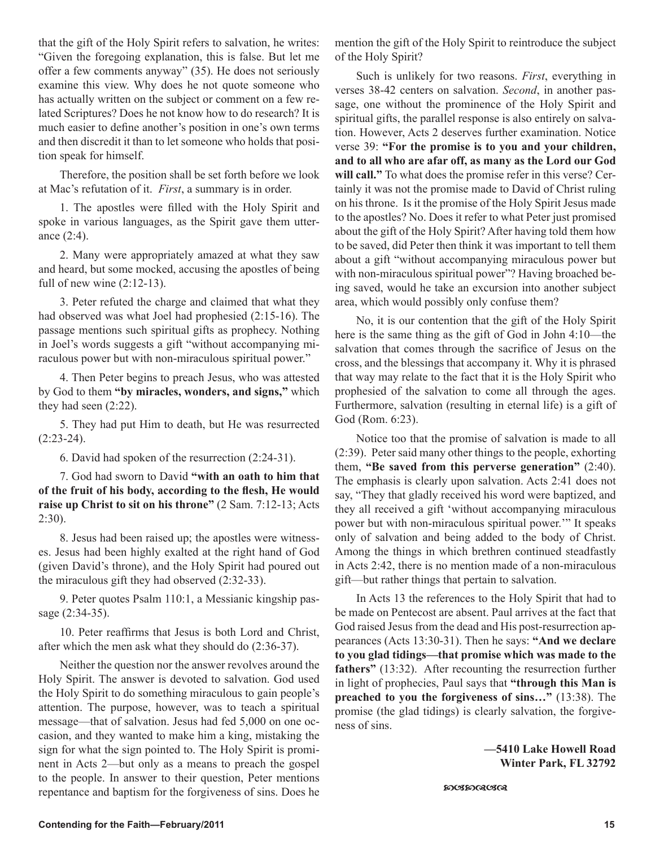that the gift of the Holy Spirit refers to salvation, he writes: "Given the foregoing explanation, this is false. But let me offer a few comments anyway" (35). He does not seriously examine this view. Why does he not quote someone who has actually written on the subject or comment on a few related Scriptures? Does he not know how to do research? It is much easier to define another's position in one's own terms and then discredit it than to let someone who holds that position speak for himself.

Therefore, the position shall be set forth before we look at Mac's refutation of it. *First*, a summary is in order.

1. The apostles were filled with the Holy Spirit and spoke in various languages, as the Spirit gave them utterance (2:4).

2. Many were appropriately amazed at what they saw and heard, but some mocked, accusing the apostles of being full of new wine (2:12-13).

3. Peter refuted the charge and claimed that what they had observed was what Joel had prophesied (2:15-16). The passage mentions such spiritual gifts as prophecy. Nothing in Joel's words suggests a gift "without accompanying miraculous power but with non-miraculous spiritual power."

4. Then Peter begins to preach Jesus, who was attested by God to them **"by miracles, wonders, and signs,"** which they had seen (2:22).

5. They had put Him to death, but He was resurrected  $(2:23-24)$ .

6. David had spoken of the resurrection (2:24-31).

7. God had sworn to David **"with an oath to him that of the fruit of his body, according to the flesh, He would raise up Christ to sit on his throne"** (2 Sam. 7:12-13; Acts 2:30).

8. Jesus had been raised up; the apostles were witnesses. Jesus had been highly exalted at the right hand of God (given David's throne), and the Holy Spirit had poured out the miraculous gift they had observed (2:32-33).

9. Peter quotes Psalm 110:1, a Messianic kingship passage (2:34-35).

10. Peter reaffirms that Jesus is both Lord and Christ, after which the men ask what they should do (2:36-37).

Neither the question nor the answer revolves around the Holy Spirit. The answer is devoted to salvation. God used the Holy Spirit to do something miraculous to gain people's attention. The purpose, however, was to teach a spiritual message—that of salvation. Jesus had fed 5,000 on one occasion, and they wanted to make him a king, mistaking the sign for what the sign pointed to. The Holy Spirit is prominent in Acts 2—but only as a means to preach the gospel to the people. In answer to their question, Peter mentions repentance and baptism for the forgiveness of sins. Does he mention the gift of the Holy Spirit to reintroduce the subject of the Holy Spirit?

Such is unlikely for two reasons. *First*, everything in verses 38-42 centers on salvation. *Second*, in another passage, one without the prominence of the Holy Spirit and spiritual gifts, the parallel response is also entirely on salvation. However, Acts 2 deserves further examination. Notice verse 39: **"For the promise is to you and your children, and to all who are afar off, as many as the Lord our God will call."** To what does the promise refer in this verse? Certainly it was not the promise made to David of Christ ruling on his throne. Is it the promise of the Holy Spirit Jesus made to the apostles? No. Does it refer to what Peter just promised about the gift of the Holy Spirit? After having told them how to be saved, did Peter then think it was important to tell them about a gift "without accompanying miraculous power but with non-miraculous spiritual power"? Having broached being saved, would he take an excursion into another subject area, which would possibly only confuse them?

No, it is our contention that the gift of the Holy Spirit here is the same thing as the gift of God in John 4:10—the salvation that comes through the sacrifice of Jesus on the cross, and the blessings that accompany it. Why it is phrased that way may relate to the fact that it is the Holy Spirit who prophesied of the salvation to come all through the ages. Furthermore, salvation (resulting in eternal life) is a gift of God (Rom. 6:23).

Notice too that the promise of salvation is made to all (2:39). Peter said many other things to the people, exhorting them, **"Be saved from this perverse generation"** (2:40). The emphasis is clearly upon salvation. Acts 2:41 does not say, "They that gladly received his word were baptized, and they all received a gift 'without accompanying miraculous power but with non-miraculous spiritual power.'" It speaks only of salvation and being added to the body of Christ. Among the things in which brethren continued steadfastly in Acts 2:42, there is no mention made of a non-miraculous gift—but rather things that pertain to salvation.

In Acts 13 the references to the Holy Spirit that had to be made on Pentecost are absent. Paul arrives at the fact that God raised Jesus from the dead and His post-resurrection appearances (Acts 13:30-31). Then he says: **"And we declare to you glad tidings—that promise which was made to the fathers"** (13:32). After recounting the resurrection further in light of prophecies, Paul says that **"through this Man is preached to you the forgiveness of sins…"** (13:38). The promise (the glad tidings) is clearly salvation, the forgiveness of sins.

> **—5410 Lake Howell Road Winter Park, FL 32792**

**හගහායයය**